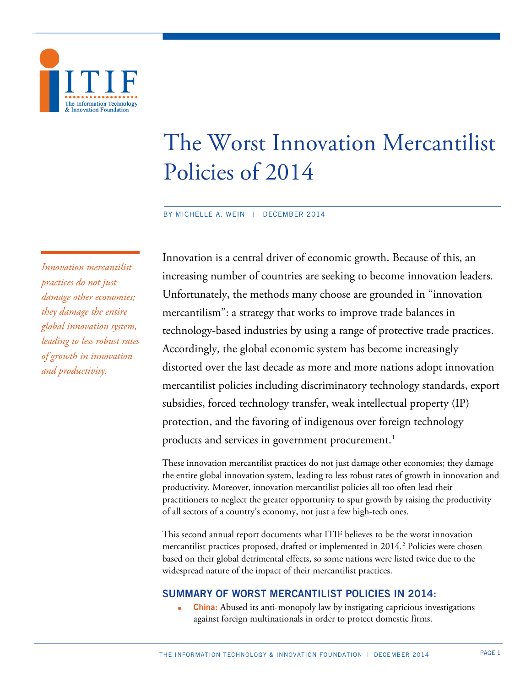

# The Worst Innovation Mercantilist Policies of 2014

BY MICHELLE A. WEIN | DECEMBER 2014

*Innovation mercantilist practices do not just damage other economies; they damage the entire global innovation system, leading to less robust rates of growth in innovation and productivity.*

Innovation is a central driver of economic growth. Because of this, an increasing number of countries are seeking to become innovation leaders. Unfortunately, the methods many choose are grounded in "innovation mercantilism": a strategy that works to improve trade balances in technology-based industries by using a range of protective trade practices. Accordingly, the global economic system has become increasingly distorted over the last decade as more and more nations adopt innovation mercantilist policies including discriminatory technology standards, export subsidies, forced technology transfer, weak intellectual property (IP) protection, and the favoring of indigenous over foreign technology products and services in government procurement. $^{\rm l}$ 

These innovation mercantilist practices do not just damage other economies; they damage the entire global innovation system, leading to less robust rates of growth in innovation and productivity. Moreover, innovation mercantilist policies all too often lead their practitioners to neglect the greater opportunity to spur growth by raising the productivity of all sectors of a country's economy, not just a few high-tech ones.

This second annual report documents what ITIF believes to be the worst innovation mercantilist practices proposed, drafted or implemented in 2014. [2](#page-9-1) Policies were chosen based on their global detrimental effects, so some nations were listed twice due to the widespread nature of the impact of their mercantilist practices.

# **SUMMARY OF WORST MERCANTILIST POLICIES IN 2014:**

 **China:** Abused its anti-monopoly law by instigating capricious investigations against foreign multinationals in order to protect domestic firms.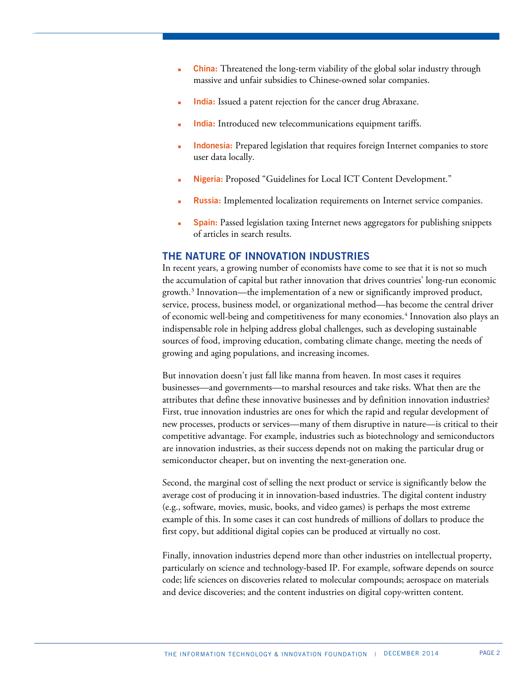- **China:** Threatened the long-term viability of the global solar industry through massive and unfair subsidies to Chinese-owned solar companies.
- **India:** Issued a patent rejection for the cancer drug Abraxane.
- **India:** Introduced new telecommunications equipment tariffs.
- **Indonesia:** Prepared legislation that requires foreign Internet companies to store user data locally.
- **Nigeria:** Proposed "Guidelines for Local ICT Content Development."
- **Russia:** Implemented localization requirements on Internet service companies.
- **Spain:** Passed legislation taxing Internet news aggregators for publishing snippets of articles in search results.

## **THE NATURE OF INNOVATION INDUSTRIES**

In recent years, a growing number of economists have come to see that it is not so much the accumulation of capital but rather innovation that drives countries' long-run economic growth.[3](#page-9-2) Innovation—the implementation of a new or significantly improved product, service, process, business model, or organizational method—has become the central driver of economic well-being and competitiveness for many economies. [4](#page-9-3) Innovation also plays an indispensable role in helping address global challenges, such as developing sustainable sources of food, improving education, combating climate change, meeting the needs of growing and aging populations, and increasing incomes.

But innovation doesn't just fall like manna from heaven. In most cases it requires businesses—and governments—to marshal resources and take risks. What then are the attributes that define these innovative businesses and by definition innovation industries? First, true innovation industries are ones for which the rapid and regular development of new processes, products or services—many of them disruptive in nature—is critical to their competitive advantage. For example, industries such as biotechnology and semiconductors are innovation industries, as their success depends not on making the particular drug or semiconductor cheaper, but on inventing the next-generation one.

Second, the marginal cost of selling the next product or service is significantly below the average cost of producing it in innovation-based industries. The digital content industry (e.g., software, movies, music, books, and video games) is perhaps the most extreme example of this. In some cases it can cost hundreds of millions of dollars to produce the first copy, but additional digital copies can be produced at virtually no cost.

Finally, innovation industries depend more than other industries on intellectual property, particularly on science and technology-based IP. For example, software depends on source code; life sciences on discoveries related to molecular compounds; aerospace on materials and device discoveries; and the content industries on digital copy-written content.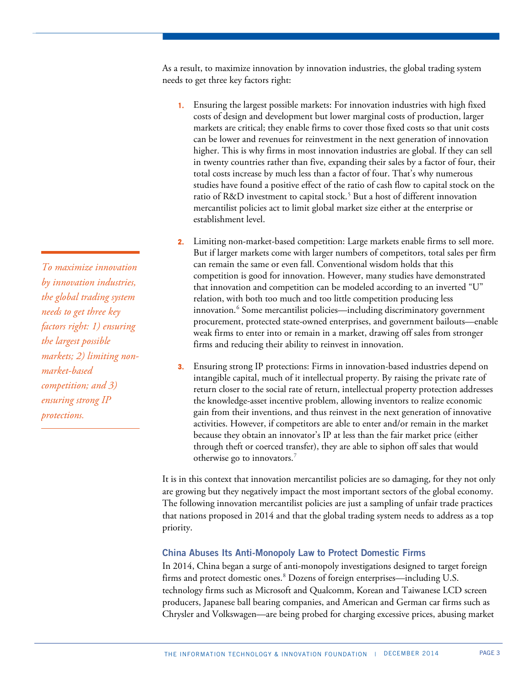As a result, to maximize innovation by innovation industries, the global trading system needs to get three key factors right:

- **1.** Ensuring the largest possible markets: For innovation industries with high fixed costs of design and development but lower marginal costs of production, larger markets are critical; they enable firms to cover those fixed costs so that unit costs can be lower and revenues for reinvestment in the next generation of innovation higher. This is why firms in most innovation industries are global. If they can sell in twenty countries rather than five, expanding their sales by a factor of four, their total costs increase by much less than a factor of four. That's why numerous studies have found a positive effect of the ratio of cash flow to capital stock on the ratio of R&D investment to capital stock.<sup>[5](#page-9-4)</sup> But a host of different innovation mercantilist policies act to limit global market size either at the enterprise or establishment level.
- **2.** Limiting non-market-based competition: Large markets enable firms to sell more. But if larger markets come with larger numbers of competitors, total sales per firm can remain the same or even fall. Conventional wisdom holds that this competition is good for innovation. However, many studies have demonstrated that innovation and competition can be modeled according to an inverted "U" relation, with both too much and too little competition producing less innovation.<sup>[6](#page-9-5)</sup> Some mercantilist policies—including discriminatory government procurement, protected state-owned enterprises, and government bailouts—enable weak firms to enter into or remain in a market, drawing off sales from stronger firms and reducing their ability to reinvest in innovation.
- **3.** Ensuring strong IP protections: Firms in innovation-based industries depend on intangible capital, much of it intellectual property. By raising the private rate of return closer to the social rate of return, intellectual property protection addresses the knowledge-asset incentive problem, allowing inventors to realize economic gain from their inventions, and thus reinvest in the next generation of innovative activities. However, if competitors are able to enter and/or remain in the market because they obtain an innovator's IP at less than the fair market price (either through theft or coerced transfer), they are able to siphon off sales that would otherwise go to innovators. [7](#page-9-6)

It is in this context that innovation mercantilist policies are so damaging, for they not only are growing but they negatively impact the most important sectors of the global economy. The following innovation mercantilist policies are just a sampling of unfair trade practices that nations proposed in 2014 and that the global trading system needs to address as a top priority.

## **China Abuses Its Anti-Monopoly Law to Protect Domestic Firms**

In 2014, China began a surge of anti-monopoly investigations designed to target foreign firms and protect domestic ones.<sup>[8](#page-9-7)</sup> Dozens of foreign enterprises—including U.S. technology firms such as Microsoft and Qualcomm, Korean and Taiwanese LCD screen producers, Japanese ball bearing companies, and American and German car firms such as Chrysler and Volkswagen—are being probed for charging excessive prices, abusing market

*To maximize innovation by innovation industries, the global trading system needs to get three key factors right: 1) ensuring the largest possible markets; 2) limiting nonmarket-based competition; and 3) ensuring strong IP protections.*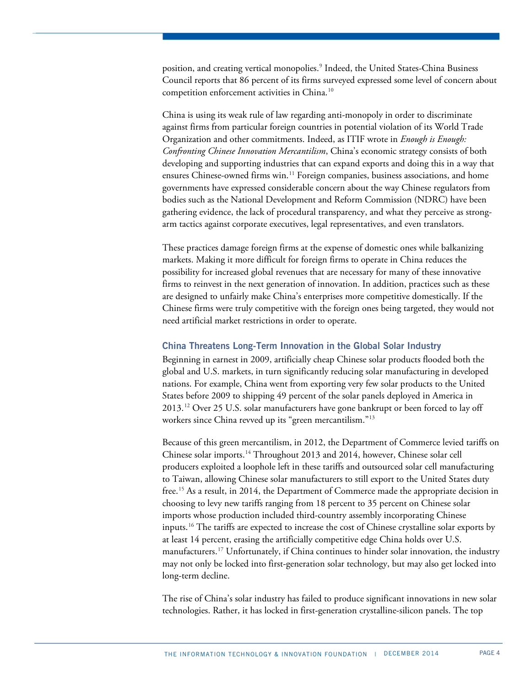position, and creating vertical monopolies[.9](#page-9-8) Indeed, the United States-China Business Council reports that 86 percent of its firms surveyed expressed some level of concern about competition enforcement activities in China.[10](#page-9-9)

China is using its weak rule of law regarding anti-monopoly in order to discriminate against firms from particular foreign countries in potential violation of its World Trade Organization and other commitments. Indeed, as ITIF wrote in *Enough is Enough: Confronting Chinese Innovation Mercantilism*, China's economic strategy consists of both developing and supporting industries that can expand exports and doing this in a way that ensures Chinese-owned firms win.<sup>[11](#page-9-10)</sup> Foreign companies, business associations, and home governments have expressed considerable concern about the way Chinese regulators from bodies such as the National Development and Reform Commission (NDRC) have been gathering evidence, the lack of procedural transparency, and what they perceive as strongarm tactics against corporate executives, legal representatives, and even translators.

These practices damage foreign firms at the expense of domestic ones while balkanizing markets. Making it more difficult for foreign firms to operate in China reduces the possibility for increased global revenues that are necessary for many of these innovative firms to reinvest in the next generation of innovation. In addition, practices such as these are designed to unfairly make China's enterprises more competitive domestically. If the Chinese firms were truly competitive with the foreign ones being targeted, they would not need artificial market restrictions in order to operate.

#### **China Threatens Long-Term Innovation in the Global Solar Industry**

Beginning in earnest in 2009, artificially cheap Chinese solar products flooded both the global and U.S. markets, in turn significantly reducing solar manufacturing in developed nations. For example, China went from exporting very few solar products to the United States before 2009 to shipping 49 percent of the solar panels deployed in America in 2013.[12](#page-9-11) Over 25 U.S. solar manufacturers have gone bankrupt or been forced to lay off workers since China revved up its "green mercantilism."[13](#page-9-12)

Because of this green mercantilism, in 2012, the Department of Commerce levied tariffs on Chinese solar imports.[14](#page-9-13) Throughout 2013 and 2014, however, Chinese solar cell producers exploited a loophole left in these tariffs and outsourced solar cell manufacturing to Taiwan, allowing Chinese solar manufacturers to still export to the United States duty free.[15](#page-9-14) As a result, in 2014, the Department of Commerce made the appropriate decision in choosing to levy new tariffs ranging from 18 percent to 35 percent on Chinese solar imports whose production included third-country assembly incorporating Chinese inputs. [16](#page-9-15) The tariffs are expected to increase the cost of Chinese crystalline solar exports by at least 14 percent, erasing the artificially competitive edge China holds over U.S. manufacturers.<sup>[17](#page-9-16)</sup> Unfortunately, if China continues to hinder solar innovation, the industry may not only be locked into first-generation solar technology, but may also get locked into long-term decline.

The rise of China's solar industry has failed to produce significant innovations in new solar technologies. Rather, it has locked in first-generation crystalline-silicon panels. The top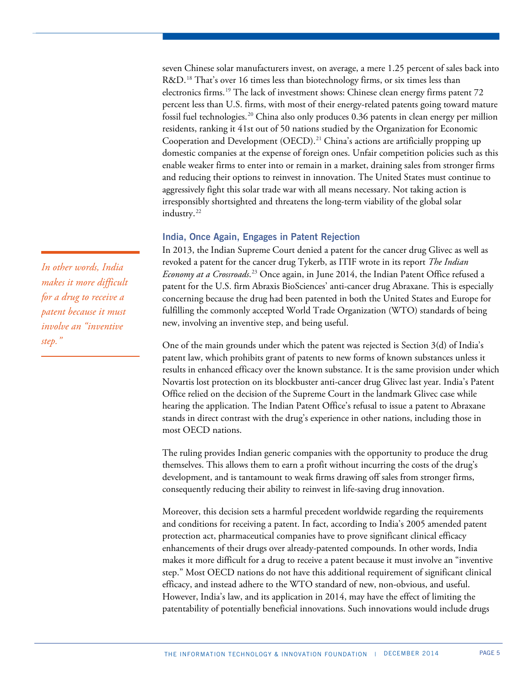seven Chinese solar manufacturers invest, on average, a mere 1.25 percent of sales back into R&D.<sup>[18](#page-9-17)</sup> That's over 16 times less than biotechnology firms, or six times less than electronics firms.<sup>[19](#page-9-18)</sup> The lack of investment shows: Chinese clean energy firms patent  $72$ percent less than U.S. firms, with most of their energy-related patents going toward mature fossil fuel technologies.[20](#page-9-19) China also only produces 0.36 patents in clean energy per million residents, ranking it 41st out of 50 nations studied by the Organization for Economic Cooperation and Development (OECD). [21](#page-9-20) China's actions are artificially propping up domestic companies at the expense of foreign ones. Unfair competition policies such as this enable weaker firms to enter into or remain in a market, draining sales from stronger firms and reducing their options to reinvest in innovation. The United States must continue to aggressively fight this solar trade war with all means necessary. Not taking action is irresponsibly shortsighted and threatens the long-term viability of the global solar industry.<sup>[22](#page-9-21)</sup>

## **India, Once Again, Engages in Patent Rejection**

In 2013, the Indian Supreme Court denied a patent for the cancer drug Glivec as well as revoked a patent for the cancer drug Tykerb, as ITIF wrote in its report *The Indian Economy at a Crossroads*. [23](#page-9-22) Once again, in June 2014, the Indian Patent Office refused a patent for the U.S. firm Abraxis BioSciences' anti-cancer drug Abraxane. This is especially concerning because the drug had been patented in both the United States and Europe for fulfilling the commonly accepted World Trade Organization (WTO) standards of being new, involving an inventive step, and being useful.

One of the main grounds under which the patent was rejected is Section  $3(d)$  of India's patent law, which prohibits grant of patents to new forms of known substances unless it results in enhanced efficacy over the known substance. It is the same provision under which Novartis lost protection on its blockbuster anti-cancer drug Glivec last year. India's Patent Office relied on the decision of the Supreme Court in the landmark Glivec case while hearing the application. The Indian Patent Office's refusal to issue a patent to Abraxane stands in direct contrast with the drug's experience in other nations, including those in most OECD nations.

The ruling provides Indian generic companies with the opportunity to produce the drug themselves. This allows them to earn a profit without incurring the costs of the drug's development, and is tantamount to weak firms drawing off sales from stronger firms, consequently reducing their ability to reinvest in life-saving drug innovation.

Moreover, this decision sets a harmful precedent worldwide regarding the requirements and conditions for receiving a patent. In fact, according to India's 2005 amended patent protection act, pharmaceutical companies have to prove significant clinical efficacy enhancements of their drugs over already-patented compounds. In other words, India makes it more difficult for a drug to receive a patent because it must involve an "inventive step." Most OECD nations do not have this additional requirement of significant clinical efficacy, and instead adhere to the WTO standard of new, non-obvious, and useful. However, India's law, and its application in 2014, may have the effect of limiting the patentability of potentially beneficial innovations. Such innovations would include drugs

*In other words, India makes it more difficult for a drug to receive a patent because it must involve an "inventive step."*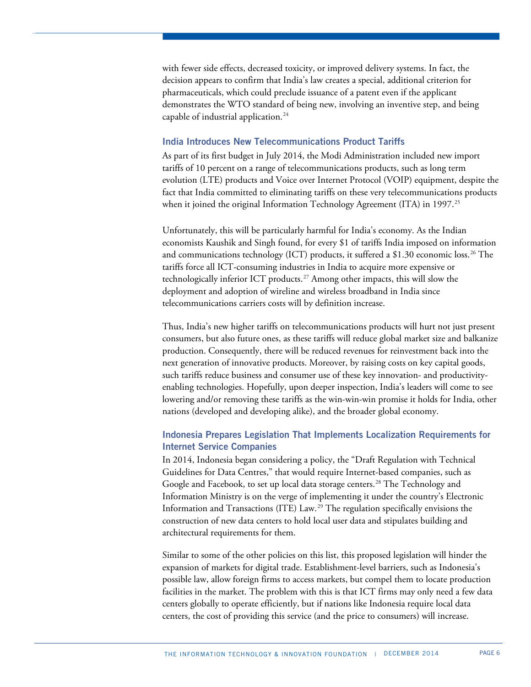with fewer side effects, decreased toxicity, or improved delivery systems. In fact, the decision appears to confirm that India's law creates a special, additional criterion for pharmaceuticals, which could preclude issuance of a patent even if the applicant demonstrates the WTO standard of being new, involving an inventive step, and being capable of industrial application. $^{24}$ 

#### **India Introduces New Telecommunications Product Tariffs**

As part of its first budget in July 2014, the Modi Administration included new import tariffs of 10 percent on a range of telecommunications products, such as long term evolution (LTE) products and Voice over Internet Protocol (VOIP) equipment, despite the fact that India committed to eliminating tariffs on these very telecommunications products when it joined the original Information Technology Agreement (ITA) in 1997.<sup>[25](#page-9-24)</sup>

Unfortunately, this will be particularly harmful for India's economy. As the Indian economists Kaushik and Singh found, for every \$1 of tariffs India imposed on information and communications technology (ICT) products, it suffered a \$1.30 economic loss. $^{26}\rm{The}$  $^{26}\rm{The}$  $^{26}\rm{The}$ tariffs force all ICT-consuming industries in India to acquire more expensive or technologically inferior ICT products.[27](#page-9-26) Among other impacts, this will slow the deployment and adoption of wireline and wireless broadband in India since telecommunications carriers costs will by definition increase.

Thus, India's new higher tariffs on telecommunications products will hurt not just present consumers, but also future ones, as these tariffs will reduce global market size and balkanize production. Consequently, there will be reduced revenues for reinvestment back into the next generation of innovative products. Moreover, by raising costs on key capital goods, such tariffs reduce business and consumer use of these key innovation- and productivityenabling technologies. Hopefully, upon deeper inspection, India's leaders will come to see lowering and/or removing these tariffs as the win-win-win promise it holds for India, other nations (developed and developing alike), and the broader global economy.

## **Indonesia Prepares Legislation That Implements Localization Requirements for Internet Service Companies**

In 2014, Indonesia began considering a policy, the "Draft Regulation with Technical Guidelines for Data Centres," that would require Internet-based companies, such as Google and Facebook, to set up local data storage centers.<sup>[28](#page-9-27)</sup> The Technology and Information Ministry is on the verge of implementing it under the country's Electronic Information and Transactions (ITE) Law.[29](#page-9-28) The regulation specifically envisions the construction of new data centers to hold local user data and stipulates building and architectural requirements for them.

Similar to some of the other policies on this list, this proposed legislation will hinder the expansion of markets for digital trade. Establishment-level barriers, such as Indonesia's possible law, allow foreign firms to access markets, but compel them to locate production facilities in the market. The problem with this is that ICT firms may only need a few data centers globally to operate efficiently, but if nations like Indonesia require local data centers, the cost of providing this service (and the price to consumers) will increase.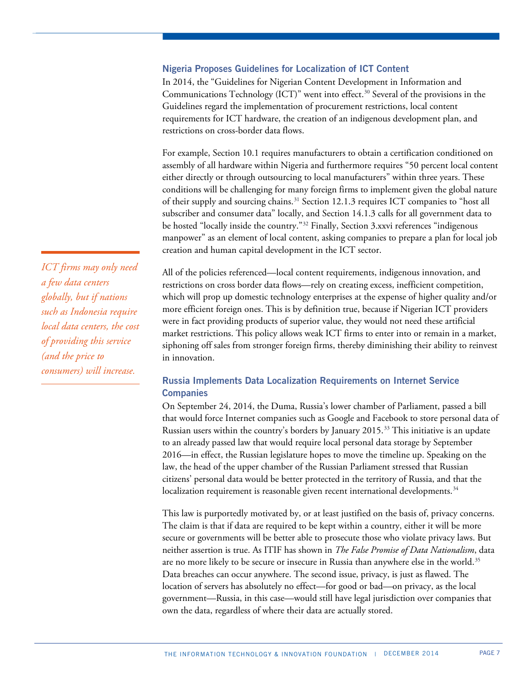## **Nigeria Proposes Guidelines for Localization of ICT Content**

In 2014, the "Guidelines for Nigerian Content Development in Information and Communications Technology (ICT)" went into effect. [30](#page-9-29) Several of the provisions in the Guidelines regard the implementation of procurement restrictions, local content requirements for ICT hardware, the creation of an indigenous development plan, and restrictions on cross-border data flows.

For example, Section 10.1 requires manufacturers to obtain a certification conditioned on assembly of all hardware within Nigeria and furthermore requires "50 percent local content either directly or through outsourcing to local manufacturers" within three years. These conditions will be challenging for many foreign firms to implement given the global nature of their supply and sourcing chains.<sup>[31](#page-9-30)</sup> Section 12.1.3 requires ICT companies to "host all subscriber and consumer data" locally, and Section 14.1.3 calls for all government data to be hosted "locally inside the country."<sup>[32](#page-9-31)</sup> Finally, Section 3.xxvi references "indigenous manpower" as an element of local content, asking companies to prepare a plan for local job creation and human capital development in the ICT sector.

All of the policies referenced—local content requirements, indigenous innovation, and restrictions on cross border data flows—rely on creating excess, inefficient competition, which will prop up domestic technology enterprises at the expense of higher quality and/or more efficient foreign ones. This is by definition true, because if Nigerian ICT providers were in fact providing products of superior value, they would not need these artificial market restrictions. This policy allows weak ICT firms to enter into or remain in a market, siphoning off sales from stronger foreign firms, thereby diminishing their ability to reinvest in innovation.

# **Russia Implements Data Localization Requirements on Internet Service Companies**

On September 24, 2014, the Duma, Russia's lower chamber of Parliament, passed a bill that would force Internet companies such as Google and Facebook to store personal data of Russian users within the country's borders by January 2015.[33](#page-9-32) This initiative is an update to an already passed law that would require local personal data storage by September 2016—in effect, the Russian legislature hopes to move the timeline up. Speaking on the law, the head of the upper chamber of the Russian Parliament stressed that Russian citizens' personal data would be better protected in the territory of Russia, and that the localization requirement is reasonable given recent international developments.<sup>34</sup>

This law is purportedly motivated by, or at least justified on the basis of, privacy concerns. The claim is that if data are required to be kept within a country, either it will be more secure or governments will be better able to prosecute those who violate privacy laws. But neither assertion is true. As ITIF has shown in *The False Promise of Data Nationalism*, data are no more likely to be secure or insecure in Russia than anywhere else in the world. $^{35}$  $^{35}$  $^{35}$ Data breaches can occur anywhere. The second issue, privacy, is just as flawed. The location of servers has absolutely no effect—for good or bad—on privacy, as the local government—Russia, in this case—would still have legal jurisdiction over companies that own the data, regardless of where their data are actually stored.

*ICT firms may only need a few data centers globally, but if nations such as Indonesia require local data centers, the cost of providing this service (and the price to consumers) will increase.*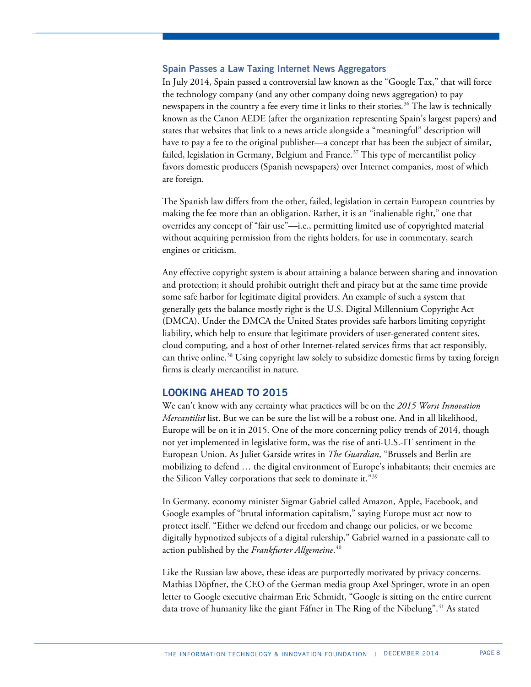## **Spain Passes a Law Taxing Internet News Aggregators**

In July 2014, Spain passed a controversial law known as the "Google Tax," that will force the technology company (and any other company doing news aggregation) to pay newspapers in the country a fee every time it links to their stories.<sup>[36](#page-9-35)</sup> The law is technically known as the Canon AEDE (after the organization representing Spain's largest papers) and states that websites that link to a news article alongside a "meaningful" description will have to pay a fee to the original publisher—a concept that has been the subject of similar, failed, legislation in Germany, Belgium and France.<sup>[37](#page-9-36)</sup> This type of mercantilist policy favors domestic producers (Spanish newspapers) over Internet companies, most of which are foreign.

The Spanish law differs from the other, failed, legislation in certain European countries by making the fee more than an obligation. Rather, it is an "inalienable right," one that overrides any concept of "fair use"—i.e., permitting limited use of copyrighted material without acquiring permission from the rights holders, for use in commentary, search engines or criticism.

Any effective copyright system is about attaining a balance between sharing and innovation and protection; it should prohibit outright theft and piracy but at the same time provide some safe harbor for legitimate digital providers. An example of such a system that generally gets the balance mostly right is the U.S. Digital Millennium Copyright Act (DMCA). Under the DMCA the United States provides safe harbors limiting copyright liability, which help to ensure that legitimate providers of user-generated content sites, cloud computing, and a host of other Internet-related services firms that act responsibly, can thrive online.<sup>[38](#page-9-37)</sup> Using copyright law solely to subsidize domestic firms by taxing foreign firms is clearly mercantilist in nature.

## **LOOKING AHEAD TO 2015**

We can't know with any certainty what practices will be on the *2015 Worst Innovation Mercantilist* list. But we can be sure the list will be a robust one. And in all likelihood, Europe will be on it in 2015. One of the more concerning policy trends of 2014, though not yet implemented in legislative form, was the rise of anti-U.S.-IT sentiment in the European Union. As Juliet Garside writes in *The Guardian*, "Brussels and Berlin are mobilizing to defend … the digital environment of Europe's inhabitants; their enemies are the Silicon Valley corporations that seek to dominate it."[39](#page-9-38)

In Germany, economy minister Sigmar Gabriel called Amazon, Apple, Facebook, and Google examples of "brutal information capitalism," saying Europe must act now to protect itself. "Either we defend our freedom and change our policies, or we become digitally hypnotized subjects of a digital rulership," Gabriel warned in a passionate call to action published by the *Frankfurter Allgemeine*. [40](#page-9-39)

Like the Russian law above, these ideas are purportedly motivated by privacy concerns. Mathias Döpfner, the CEO of the German media group Axel Springer, wrote in an open letter to Google executive chairman Eric Schmidt, "Google is sitting on the entire current data trove of humanity like the giant Fáfner in The Ring of the Nibelung".[41](#page-9-40) As stated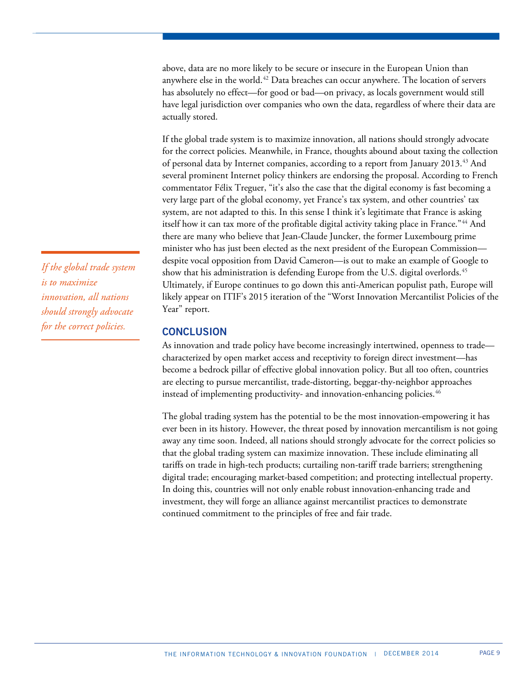above, data are no more likely to be secure or insecure in the European Union than anywhere else in the world. [42](#page-9-41) Data breaches can occur anywhere. The location of servers has absolutely no effect—for good or bad—on privacy, as locals government would still have legal jurisdiction over companies who own the data, regardless of where their data are actually stored.

If the global trade system is to maximize innovation, all nations should strongly advocate for the correct policies. Meanwhile, in France, thoughts abound about taxing the collection of personal data by Internet companies, according to a report from January 2013.<sup>[43](#page-9-42)</sup> And several prominent Internet policy thinkers are endorsing the proposal. According to French commentator Félix Treguer, "it's also the case that the digital economy is fast becoming a very large part of the global economy, yet France's tax system, and other countries' tax system, are not adapted to this. In this sense I think it's legitimate that France is asking itself how it can tax more of the profitable digital activity taking place in France."<sup>[44](#page-9-43)</sup> And there are many who believe that Jean-Claude Juncker, the former Luxembourg prime minister who has just been elected as the next president of the European Commission despite vocal opposition from David Cameron—is out to make an example of Google to show that his administration is defending Europe from the U.S. digital overlords. $^{45}$  $^{45}$  $^{45}$ Ultimately, if Europe continues to go down this anti-American populist path, Europe will likely appear on ITIF's 2015 iteration of the "Worst Innovation Mercantilist Policies of the Year" report.

## **CONCLUSION**

As innovation and trade policy have become increasingly intertwined, openness to trade characterized by open market access and receptivity to foreign direct investment—has become a bedrock pillar of effective global innovation policy. But all too often, countries are electing to pursue mercantilist, trade-distorting, beggar-thy-neighbor approaches instead of implementing productivity- and innovation-enhancing policies.<sup>[46](#page-9-45)</sup>

The global trading system has the potential to be the most innovation-empowering it has ever been in its history. However, the threat posed by innovation mercantilism is not going away any time soon. Indeed, all nations should strongly advocate for the correct policies so that the global trading system can maximize innovation. These include eliminating all tariffs on trade in high-tech products; curtailing non-tariff trade barriers; strengthening digital trade; encouraging market-based competition; and protecting intellectual property. In doing this, countries will not only enable robust innovation-enhancing trade and investment, they will forge an alliance against mercantilist practices to demonstrate continued commitment to the principles of free and fair trade.

*If the global trade system is to maximize innovation, all nations should strongly advocate for the correct policies.*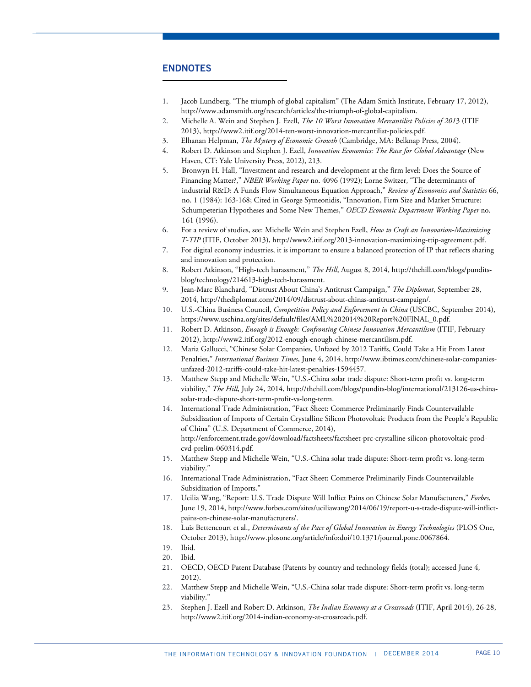## <span id="page-9-23"></span>**ENDNOTES**

 $\overline{a}$ 

- <span id="page-9-24"></span><span id="page-9-0"></span>1. Jacob Lundberg, "The triumph of global capitalism" (The Adam Smith Institute, February 17, 2012), http://www.adamsmith.org/research/articles/the-triumph-of-global-capitalism.
- <span id="page-9-1"></span>2. Michelle A. Wein and Stephen J. Ezell, *The 10 Worst Innovation Mercantilist Policies of 201*3 (ITIF 2013), http://www2.itif.org/2014-ten-worst-innovation-mercantilist-policies.pdf.
- <span id="page-9-25"></span><span id="page-9-2"></span>3. Elhanan Helpman, *The Mystery of Economic Growth* (Cambridge, MA: Belknap Press, 2004).
- <span id="page-9-3"></span>4. Robert D. Atkinson and Stephen J. Ezell, *Innovation Economics: The Race for Global Advantage* (New Haven, CT: Yale University Press, 2012), 213.
- <span id="page-9-27"></span><span id="page-9-26"></span><span id="page-9-4"></span>5. Bronwyn H. Hall, "Investment and research and development at the firm level: Does the Source of Financing Matter?," *NBER Working Paper* no. 4096 (1992); Lorne Switzer, "The determinants of industrial R&D: A Funds Flow Simultaneous Equation Approach," *Review of Economics and Statistics* 66, no. 1 (1984): 163-168; Cited in George Symeonidis, "Innovation, Firm Size and Market Structure: Schumpeterian Hypotheses and Some New Themes," *OECD Economic Department Working Paper* no. 161 (1996).
- <span id="page-9-29"></span><span id="page-9-28"></span><span id="page-9-5"></span>6. For a review of studies, see: Michelle Wein and Stephen Ezell, *How to Craft an Innovation-Maximizing T-TIP* (ITIF, October 2013), http://www2.itif.org/2013-innovation-maximizing-ttip-agreement.pdf.
- <span id="page-9-6"></span>7. For digital economy industries, it is important to ensure a balanced protection of IP that reflects sharing and innovation and protection.
- <span id="page-9-7"></span>8. Robert Atkinson, "High-tech harassment," *The Hill*, August 8, 2014, http://thehill.com/blogs/punditsblog/technology/214613-high-tech-harassment.
- <span id="page-9-31"></span><span id="page-9-30"></span><span id="page-9-8"></span>9. Jean-Marc Blanchard, "Distrust About China's Antitrust Campaign," *The Diplomat*, September 28, 2014, http://thediplomat.com/2014/09/distrust-about-chinas-antitrust-campaign/.
- <span id="page-9-32"></span><span id="page-9-9"></span>10. U.S.-China Business Council, *Competition Policy and Enforcement in China* (USCBC, September 2014), https://www.uschina.org/sites/default/files/AML%202014%20Report%20FINAL\_0.pdf.
- <span id="page-9-33"></span><span id="page-9-10"></span>11. Robert D. Atkinson, *Enough is Enough: Confronting Chinese Innovation Mercantilism* (ITIF, February 2012), http://www2.itif.org/2012-enough-enough-chinese-mercantilism.pdf.
- <span id="page-9-34"></span><span id="page-9-11"></span>12. Maria Gallucci, "Chinese Solar Companies, Unfazed by 2012 Tariffs, Could Take a Hit From Latest Penalties," *International Business Times*, June 4, 2014, http://www.ibtimes.com/chinese-solar-companiesunfazed-2012-tariffs-could-take-hit-latest-penalties-1594457.
- <span id="page-9-35"></span><span id="page-9-12"></span>13. Matthew Stepp and Michelle Wein, "U.S.-China solar trade dispute: Short-term profit vs. long-term viability," *The Hill*, July 24, 2014, http://thehill.com/blogs/pundits-blog/international/213126-us-chinasolar-trade-dispute-short-term-profit-vs-long-term.
- <span id="page-9-36"></span><span id="page-9-13"></span>14. International Trade Administration, "Fact Sheet: Commerce Preliminarily Finds Countervailable Subsidization of Imports of Certain Crystalline Silicon Photovoltaic Products from the People's Republic of China" (U.S. Department of Commerce, 2014), http://enforcement.trade.gov/download/factsheets/factsheet-prc-crystalline-silicon-photovoltaic-prodcvd-prelim-060314.pdf.
- <span id="page-9-37"></span><span id="page-9-14"></span>15. Matthew Stepp and Michelle Wein, "U.S.-China solar trade dispute: Short-term profit vs. long-term viability."
- <span id="page-9-15"></span>16. International Trade Administration, "Fact Sheet: Commerce Preliminarily Finds Countervailable Subsidization of Imports."
- <span id="page-9-38"></span><span id="page-9-16"></span>17. Ucilia Wang, "Report: U.S. Trade Dispute Will Inflict Pains on Chinese Solar Manufacturers," *Forbes*, June 19, 2014, http://www.forbes.com/sites/uciliawang/2014/06/19/report-u-s-trade-dispute-will-inflictpains-on-chinese-solar-manufacturers/.
- <span id="page-9-39"></span><span id="page-9-17"></span>18. Luis Bettencourt et al., *Determinants of the Pace of Global Innovation in Energy Technologies* (PLOS One, October 2013), http://www.plosone.org/article/info:doi/10.1371/journal.pone.0067864.
- <span id="page-9-41"></span><span id="page-9-40"></span><span id="page-9-18"></span>19. Ibid.
- <span id="page-9-42"></span><span id="page-9-19"></span>20. Ibid.
- <span id="page-9-43"></span><span id="page-9-20"></span>21. OECD, OECD Patent Database (Patents by country and technology fields (total); accessed June 4, 2012).
- <span id="page-9-45"></span><span id="page-9-44"></span><span id="page-9-21"></span>22. Matthew Stepp and Michelle Wein, "U.S.-China solar trade dispute: Short-term profit vs. long-term viability."
- <span id="page-9-22"></span>23. Stephen J. Ezell and Robert D. Atkinson, *The Indian Economy at a Crossroads* (ITIF, April 2014), 26-28, http://www2.itif.org/2014-indian-economy-at-crossroads.pdf.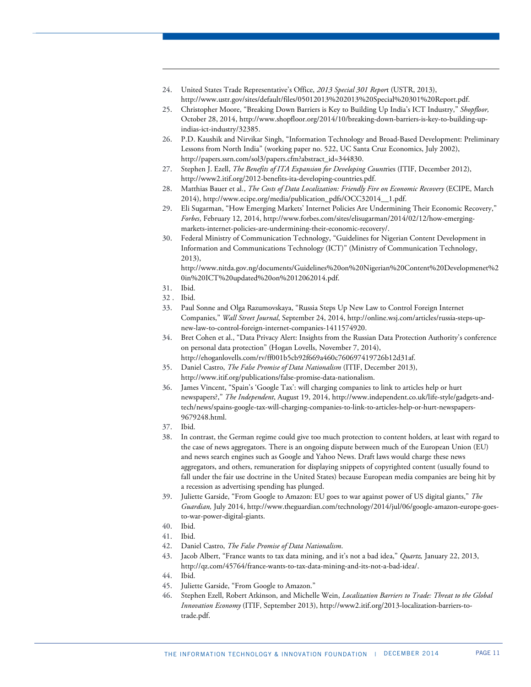- 24. United States Trade Representative's Office, *2013 Special 301 Repor*t (USTR, 2013), http://www.ustr.gov/sites/default/files/05012013%202013%20Special%20301%20Report.pdf.
- 25. Christopher Moore, "Breaking Down Barriers is Key to Building Up India's ICT Industry," *Shopfloor,*  October 28, 2014, http://www.shopfloor.org/2014/10/breaking-down-barriers-is-key-to-building-upindias-ict-industry/32385.
- 26. P.D. Kaushik and Nirvikar Singh, "Information Technology and Broad-Based Development: Preliminary Lessons from North India" (working paper no. 522, UC Santa Cruz Economics, July 2002), http://papers.ssrn.com/sol3/papers.cfm?abstract\_id=344830.
- 27. Stephen J. Ezell, *The Benefits of ITA Expansion for Developing Count*ries (ITIF, December 2012), http://www2.itif.org/2012-benefits-ita-developing-countries.pdf.
- 28. Matthias Bauer et al., *The Costs of Data Localization: Friendly Fire on Economic Recovery* (ECIPE, March 2014), http://www.ecipe.org/media/publication\_pdfs/OCC32014\_\_1.pdf.
- 29. Eli Sugarman, "How Emerging Markets' Internet Policies Are Undermining Their Economic Recovery," *Forbes*, February 12, 2014, http://www.forbes.com/sites/elisugarman/2014/02/12/how-emergingmarkets-internet-policies-are-undermining-their-economic-recovery/.
- 30. Federal Ministry of Communication Technology, "Guidelines for Nigerian Content Development in Information and Communications Technology (ICT)" (Ministry of Communication Technology, 2013),

http://www.nitda.gov.ng/documents/Guidelines%20on%20Nigerian%20Content%20Developmenet%2 0in%20ICT%20updated%20on%2012062014.pdf.

31. Ibid.

1

- 32 . Ibid.
- 33. Paul Sonne and Olga Razumovskaya, "Russia Steps Up New Law to Control Foreign Internet Companies," *Wall Street Journal*, September 24, 2014, http://online.wsj.com/articles/russia-steps-upnew-law-to-control-foreign-internet-companies-1411574920.
- 34. Bret Cohen et al., "Data Privacy Alert: Insights from the Russian Data Protection Authority's conference on personal data protection" (Hogan Lovells, November 7, 2014), http://ehoganlovells.com/rv/ff001b5cb92f669a460c760697419726b12d31af.
- 35. Daniel Castro, *The False Promise of Data Nationalism* (ITIF, December 2013),
	- http://www.itif.org/publications/false-promise-data-nationalism.
- 36. James Vincent, "Spain's 'Google Tax': will charging companies to link to articles help or hurt newspapers?," *The Independent*, August 19, 2014, http://www.independent.co.uk/life-style/gadgets-andtech/news/spains-google-tax-will-charging-companies-to-link-to-articles-help-or-hurt-newspapers-9679248.html.
- 37. Ibid.
- 38. In contrast, the German regime could give too much protection to content holders, at least with regard to the case of news aggregators. There is an ongoing dispute between much of the European Union (EU) and news search engines such as Google and Yahoo News. Draft laws would charge these news aggregators, and others, remuneration for displaying snippets of copyrighted content (usually found to fall under the fair use doctrine in the United States) because European media companies are being hit by a recession as advertising spending has plunged.
- 39. Juliette Garside, "From Google to Amazon: EU goes to war against power of US digital giants," *The Guardian,* July 2014, http://www.theguardian.com/technology/2014/jul/06/google-amazon-europe-goesto-war-power-digital-giants.
- 40. Ibid.
- 41. Ibid.
- 42. Daniel Castro, *The False Promise of Data Nationalism*.
- 43. Jacob Albert, "France wants to tax data mining, and it's not a bad idea," *Quartz,* January 22, 2013, http://qz.com/45764/france-wants-to-tax-data-mining-and-its-not-a-bad-idea/.
- 44. Ibid.
- 45. Juliette Garside, "From Google to Amazon."
- 46. Stephen Ezell, Robert Atkinson, and Michelle Wein, *Localization Barriers to Trade: Threat to the Global Innovation Economy* (ITIF, September 2013), http://www2.itif.org/2013-localization-barriers-totrade.pdf.